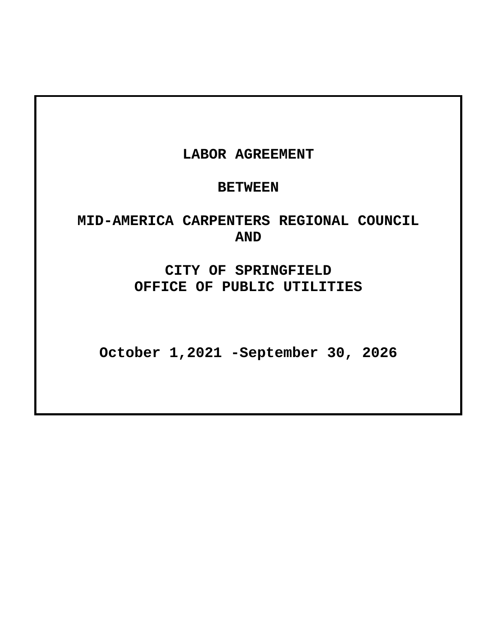# **LABOR AGREEMENT**

## **BETWEEN**

# **MID-AMERICA CARPENTERS REGIONAL COUNCIL AND**

**CITY OF SPRINGFIELD OFFICE OF PUBLIC UTILITIES**

**October 1,2021 -September 30, 2026**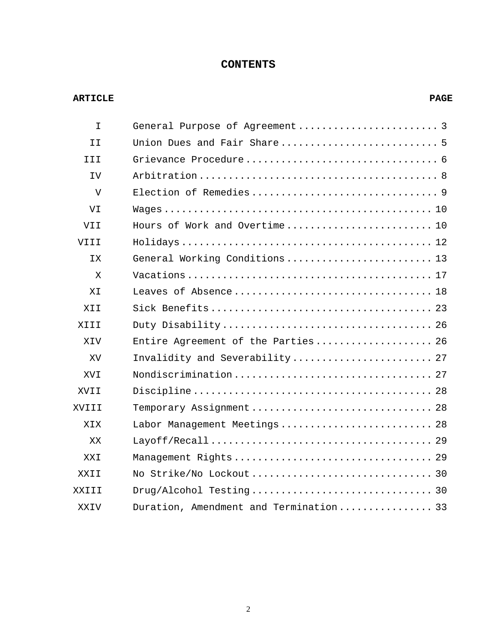## **CONTENTS**

#### **ARTICLE PAGE**

| I.    |                                        |
|-------|----------------------------------------|
| II    |                                        |
| TTT   |                                        |
| IV.   |                                        |
| V     |                                        |
| VI    |                                        |
| VII   | Hours of Work and Overtime 10          |
| VIII  |                                        |
| TX.   | General Working Conditions 13          |
| X     |                                        |
| ΧI    | Leaves of Absence 18                   |
| XTT   |                                        |
| XIII  |                                        |
| XIV   | Entire Agreement of the Parties 26     |
| XV    | Invalidity and Severability 27         |
| XVI   |                                        |
| XVII  |                                        |
| XVIII | Temporary Assignment 28                |
| XIX   | Labor Management Meetings 28           |
| XX    |                                        |
| XXT   |                                        |
| XXII  |                                        |
| XXIII |                                        |
| XXIV  | Duration, Amendment and Termination 33 |
|       |                                        |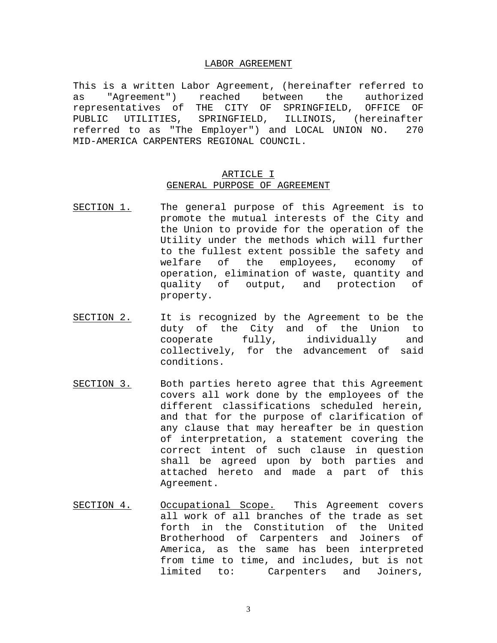#### LABOR AGREEMENT

This is a written Labor Agreement, (hereinafter referred to<br>as "Agreement") reached between the authorized as "Agreement") reached between the authorized representatives of THE CITY OF SPRINGFIELD, OFFICE OF PUBLIC UTILITIES, SPRINGFIELD, ILLINOIS, (hereinafter referred to as "The Employer") and LOCAL UNION NO. 270 MID-AMERICA CARPENTERS REGIONAL COUNCIL.

#### ARTICLE I GENERAL PURPOSE OF AGREEMENT

- SECTION 1. The general purpose of this Agreement is to promote the mutual interests of the City and the Union to provide for the operation of the Utility under the methods which will further to the fullest extent possible the safety and<br>welfare of the employees, economy of welfare of the employees, economy operation, elimination of waste, quantity and<br>quality of output, and protection of output, and protection of property.
- SECTION 2. It is recognized by the Agreement to be the duty of the City and of the Union to<br>cooperate fully, individually and  $cooperative$   $fully$ ,  $individually$ collectively, for the advancement of said conditions.
- SECTION 3. Both parties hereto agree that this Agreement covers all work done by the employees of the different classifications scheduled herein, and that for the purpose of clarification of any clause that may hereafter be in question of interpretation, a statement covering the correct intent of such clause in question shall be agreed upon by both parties and attached hereto and made a part of this Agreement.
- SECTION 4. Occupational Scope. This Agreement covers all work of all branches of the trade as set forth in the Constitution of the United Brotherhood of Carpenters and Joiners of America, as the same has been interpreted from time to time, and includes, but is not<br>limited to: Carpenters and Joiners, limited to: Carpenters and Joiners,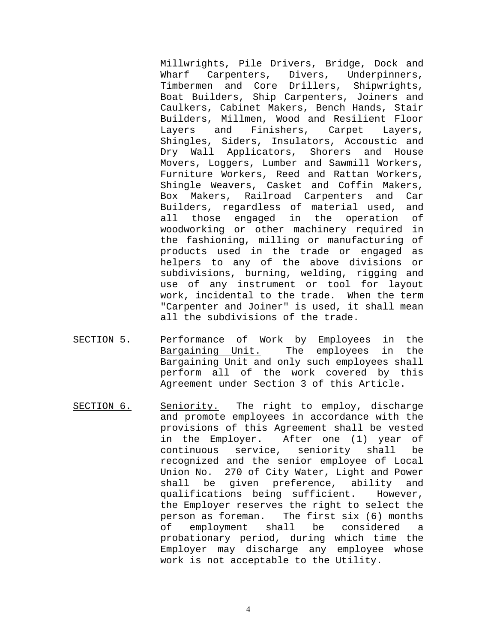Millwrights, Pile Drivers, Bridge, Dock and Wharf Carpenters, Divers, Underpinners, Timbermen and Core Drillers, Shipwrights, Boat Builders, Ship Carpenters, Joiners and Caulkers, Cabinet Makers, Bench Hands, Stair Builders, Millmen, Wood and Resilient Floor Layers and Finishers, Carpet Layers, Shingles, Siders, Insulators, Accoustic and Dry Wall Applicators, Shorers and House Movers, Loggers, Lumber and Sawmill Workers, Furniture Workers, Reed and Rattan Workers, Shingle Weavers, Casket and Coffin Makers, Box Makers, Railroad Carpenters and Car Builders, regardless of material used, and all those engaged in the operation of woodworking or other machinery required in the fashioning, milling or manufacturing of products used in the trade or engaged as helpers to any of the above divisions or subdivisions, burning, welding, rigging and use of any instrument or tool for layout work, incidental to the trade. When the term "Carpenter and Joiner" is used, it shall mean all the subdivisions of the trade.

- SECTION 5. Performance of Work by Employees in the Bargaining Unit. The employees in the Bargaining Unit and only such employees shall perform all of the work covered by this Agreement under Section 3 of this Article.
- SECTION 6. Seniority. The right to employ, discharge and promote employees in accordance with the provisions of this Agreement shall be vested in the Employer. After one (1) year of<br>continuous service, seniority shall be continuous service, seniority shall be recognized and the senior employee of Local Union No. 270 of City Water, Light and Power shall be given preference, ability and qualifications being sufficient. However, the Employer reserves the right to select the person as foreman. The first six (6) months<br>of employment shall be considered a employment shall be considered a probationary period, during which time the Employer may discharge any employee whose work is not acceptable to the Utility.

4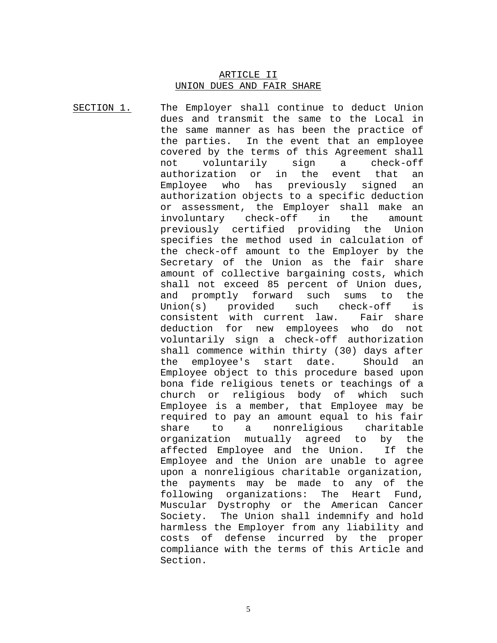#### ARTICLE II UNION DUES AND FAIR SHARE

SECTION 1. The Employer shall continue to deduct Union dues and transmit the same to the Local in the same manner as has been the practice of the parties. In the event that an employee covered by the terms of this Agreement shall<br>not voluntarily sign a check-off not voluntarily sign a check-<br>authorization or in the event that authorization or in the event that an Employee who has previously signed an authorization objects to a specific deduction or assessment, the Employer shall make an<br>involuntary check-off in the amount involuntary check-off in the amount previously certified providing the Union specifies the method used in calculation of the check-off amount to the Employer by the Secretary of the Union as the fair share amount of collective bargaining costs, which shall not exceed 85 percent of Union dues, and promptly forward such sums to the Union(s) provided such check-off is consistent with current law. Fair share deduction for new employees who do not voluntarily sign a check-off authorization shall commence within thirty (30) days after<br>the employee's start date. Should an the employee's start date. Should an Employee object to this procedure based upon bona fide religious tenets or teachings of a church or religious body of Employee is a member, that Employee may be required to pay an amount equal to his fair<br>share to a nonreligious charitable a nonreligious charit<br>mutually agreed to by organization mutually agreed to by the<br>affected Emplovee and the Union. If the affected Employee and the Union. Employee and the Union are unable to agree upon a nonreligious charitable organization, the payments may be made to any of the following organizations: The Heart Fund, Muscular Dystrophy or the American Cancer Society. The Union shall indemnify and hold harmless the Employer from any liability and costs of defense incurred by the proper compliance with the terms of this Article and Section.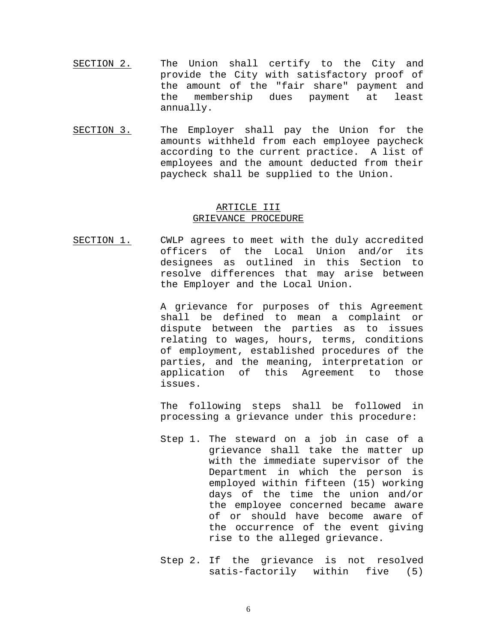- SECTION 2. The Union shall certify to the City and provide the City with satisfactory proof of the amount of the "fair share" payment and the membership dues payment at least annually.
- SECTION 3. The Employer shall pay the Union for the amounts withheld from each employee paycheck according to the current practice. A list of employees and the amount deducted from their paycheck shall be supplied to the Union.

#### ARTICLE III GRIEVANCE PROCEDURE

SECTION 1. CWLP agrees to meet with the duly accredited officers of the Local Union and/or its designees as outlined in this Section to resolve differences that may arise between the Employer and the Local Union.

> A grievance for purposes of this Agreement shall be defined to mean a complaint or dispute between the parties as to issues relating to wages, hours, terms, conditions of employment, established procedures of the parties, and the meaning, interpretation or application of this Agreement to those issues.

> The following steps shall be followed in processing a grievance under this procedure:

- Step 1. The steward on a job in case of a grievance shall take the matter up with the immediate supervisor of the Department in which the person is employed within fifteen (15) working days of the time the union and/or the employee concerned became aware of or should have become aware of the occurrence of the event giving rise to the alleged grievance.
- Step 2. If the grievance is not resolved satis-factorily within five (5)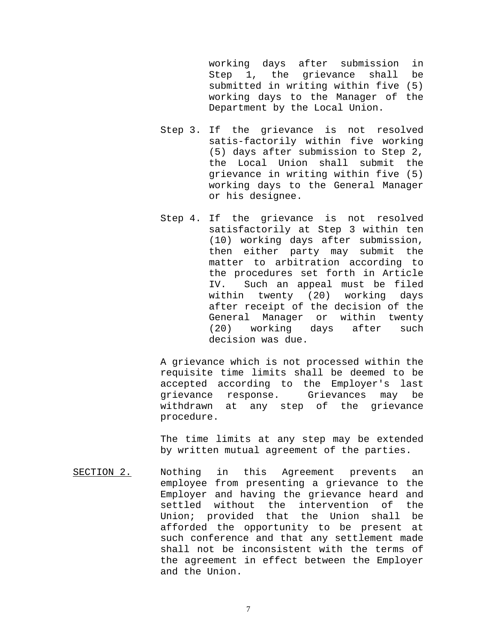working days after submission in<br>Step 1, the grievance shall be Step 1, the grievance shall submitted in writing within five (5) working days to the Manager of the Department by the Local Union.

- Step 3. If the grievance is not resolved satis-factorily within five working (5) days after submission to Step 2, the Local Union shall submit the grievance in writing within five (5) working days to the General Manager or his designee.
- Step 4. If the grievance is not resolved satisfactorily at Step 3 within ten (10) working days after submission, then either party may submit the matter to arbitration according to the procedures set forth in Article IV. Such an appeal must be filed within twenty (20) working days after receipt of the decision of the General Manager or within twenty (20) working days after such decision was due.

A grievance which is not processed within the requisite time limits shall be deemed to be accepted according to the Employer's last grievance response. Grievances may be withdrawn at any step of the grievance procedure.

The time limits at any step may be extended by written mutual agreement of the parties.

SECTION 2. Nothing in this Agreement prevents an employee from presenting a grievance to the Employer and having the grievance heard and settled without the intervention of the Union; provided that the Union shall be afforded the opportunity to be present at such conference and that any settlement made shall not be inconsistent with the terms of the agreement in effect between the Employer and the Union.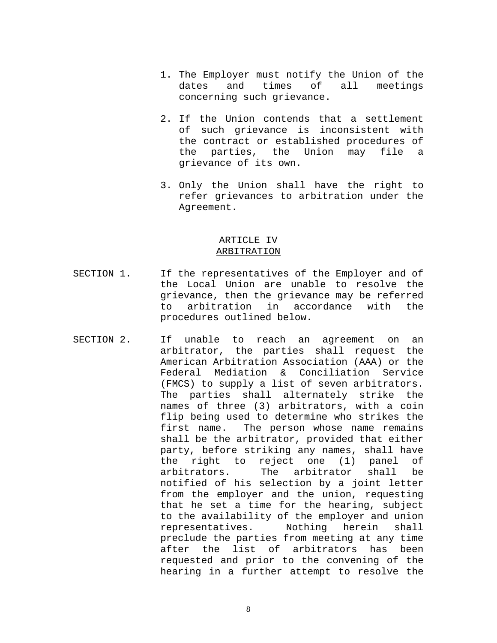- 1. The Employer must notify the Union of the<br>dates and times of all meetings meetings concerning such grievance.
- 2. If the Union contends that a settlement of such grievance is inconsistent with the contract or established procedures of the parties, the Union may file a grievance of its own.
- 3. Only the Union shall have the right to refer grievances to arbitration under the Agreement.

#### ARTICLE IV ARBITRATION

- SECTION 1. If the representatives of the Employer and of the Local Union are unable to resolve the grievance, then the grievance may be referred to arbitration in accordance with the procedures outlined below.
- SECTION 2. If unable to reach an agreement on an arbitrator, the parties shall request the American Arbitration Association (AAA) or the Federal Mediation & Conciliation Service (FMCS) to supply a list of seven arbitrators. The parties shall alternately strike the names of three (3) arbitrators, with a coin flip being used to determine who strikes the first name. The person whose name remains shall be the arbitrator, provided that either party, before striking any names, shall have the right to reject one (1) panel of<br>arbitrators. The arbitrator shall be arbitrator shall be notified of his selection by a joint letter from the employer and the union, requesting that he set a time for the hearing, subject to the availability of the employer and union<br>representatives. Mothing herein shall representatives. preclude the parties from meeting at any time after the list of arbitrators has been requested and prior to the convening of the hearing in a further attempt to resolve the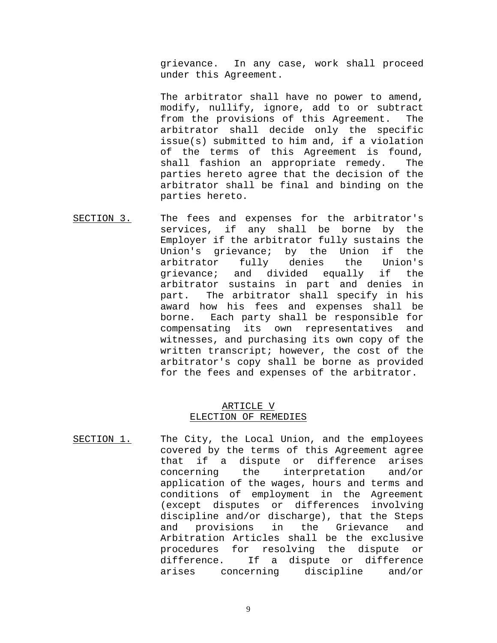grievance. In any case, work shall proceed under this Agreement.

The arbitrator shall have no power to amend, modify, nullify, ignore, add to or subtract from the provisions of this Agreement. The arbitrator shall decide only the specific issue(s) submitted to him and, if a violation of the terms of this Agreement is found, shall fashion an appropriate remedy. The parties hereto agree that the decision of the arbitrator shall be final and binding on the parties hereto.

SECTION 3. The fees and expenses for the arbitrator's services, if any shall be borne by the Employer if the arbitrator fully sustains the<br>Union's grievance; by the Union if the Union's grievance; by the Union if the<br>arbitrator fully denies the Union's arbitrator fully grievance; and divided equally if the arbitrator sustains in part and denies in part. The arbitrator shall specify in his award how his fees and expenses shall be borne. Each party shall be responsible for compensating its own representatives and witnesses, and purchasing its own copy of the written transcript; however, the cost of the arbitrator's copy shall be borne as provided for the fees and expenses of the arbitrator.

#### ARTICLE V ELECTION OF REMEDIES

SECTION 1. The City, the Local Union, and the employees covered by the terms of this Agreement agree that if a dispute or difference arises<br>concerning the interpretation and/or concerning the interpretation application of the wages, hours and terms and conditions of employment in the Agreement (except disputes or differences involving discipline and/or discharge), that the Steps<br>and provisions in the Grievance and the Grievance and Arbitration Articles shall be the exclusive procedures for resolving the dispute or<br>difference. If a dispute or difference If a dispute or difference arises concerning discipline and/or

9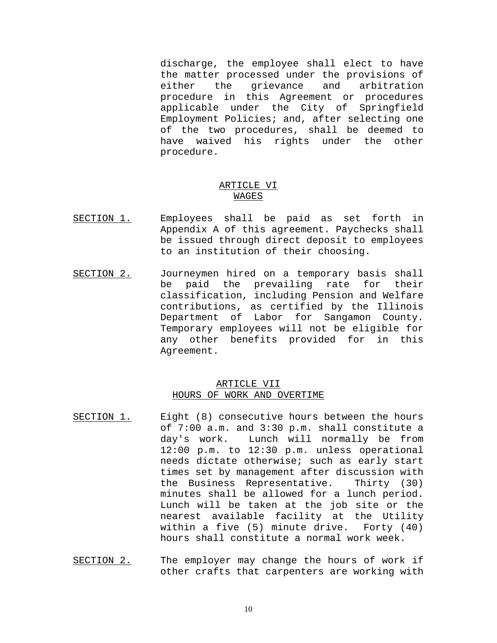discharge, the employee shall elect to have the matter processed under the provisions of<br>either the grievance and arbitration arbitration procedure in this Agreement or procedures applicable under the City of Springfield Employment Policies; and, after selecting one of the two procedures, shall be deemed to have waived his rights under the other procedure.

#### ARTICLE VI WAGES

- SECTION 1. Employees shall be paid as set forth in Appendix A of this agreement. Paychecks shall be issued through direct deposit to employees to an institution of their choosing.
- SECTION 2. Journeymen hired on a temporary basis shall be paid the prevailing rate for their classification, including Pension and Welfare contributions, as certified by the Illinois Department of Labor for Sangamon County. Temporary employees will not be eligible for any other benefits provided for in this Agreement.

#### ARTICLE VII HOURS OF WORK AND OVERTIME

- SECTION 1. Eight (8) consecutive hours between the hours of 7:00 a.m. and 3:30 p.m. shall constitute a day's work. Lunch will normally be from 12:00 p.m. to 12:30 p.m. unless operational needs dictate otherwise; such as early start times set by management after discussion with the Business Representative. Thirty (30) minutes shall be allowed for a lunch period. Lunch will be taken at the job site or the nearest available facility at the Utility<br>within a five (5) minute drive. Forty (40) within a five  $(5)$  minute drive. hours shall constitute a normal work week.
- SECTION 2. The employer may change the hours of work if other crafts that carpenters are working with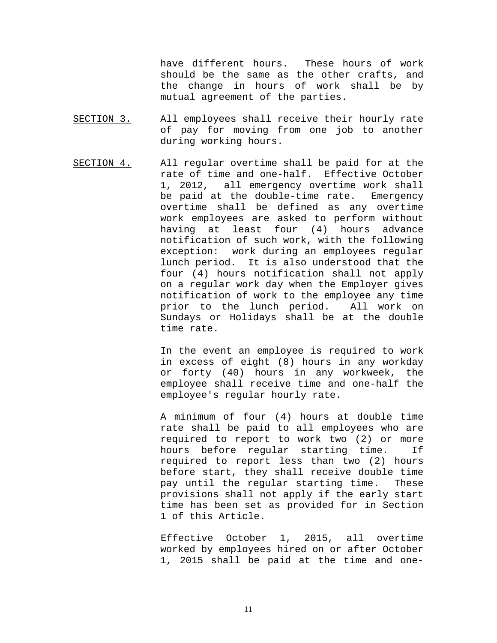have different hours. These hours of work should be the same as the other crafts, and the change in hours of work shall be by mutual agreement of the parties.

- SECTION 3. All employees shall receive their hourly rate of pay for moving from one job to another during working hours.
- SECTION 4. All regular overtime shall be paid for at the rate of time and one-half. Effective October 1, 2012, all emergency overtime work shall<br>be paid at the double-time rate. Emergency be paid at the double-time rate. overtime shall be defined as any overtime work employees are asked to perform without having at least four (4) hours advance notification of such work, with the following exception: work during an employees regular lunch period. It is also understood that the four (4) hours notification shall not apply on a regular work day when the Employer gives notification of work to the employee any time prior to the lunch period. All work on Sundays or Holidays shall be at the double time rate.

In the event an employee is required to work in excess of eight (8) hours in any workday or forty (40) hours in any workweek, the employee shall receive time and one-half the employee's regular hourly rate.

A minimum of four (4) hours at double time rate shall be paid to all employees who are required to report to work two (2) or more<br>hours before reqular starting time. If hours before regular starting time. required to report less than two (2) hours before start, they shall receive double time pay until the regular starting time. These provisions shall not apply if the early start time has been set as provided for in Section 1 of this Article.

Effective October 1, 2015, all overtime worked by employees hired on or after October 1, 2015 shall be paid at the time and one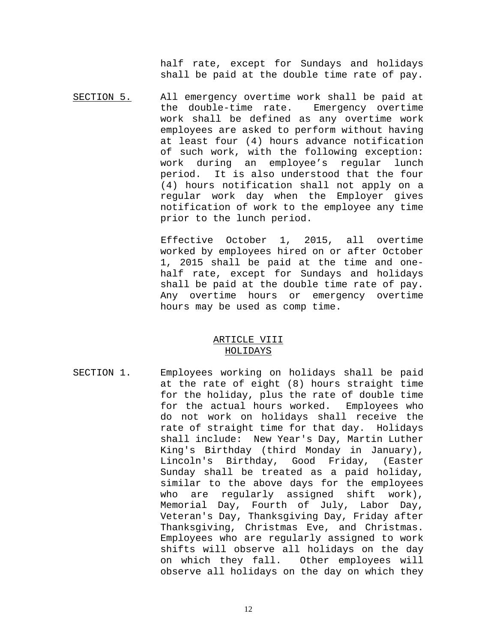half rate, except for Sundays and holidays shall be paid at the double time rate of pay.

SECTION 5. All emergency overtime work shall be paid at<br>the double-time rate. Emergency overtime the double-time rate. work shall be defined as any overtime work employees are asked to perform without having at least four (4) hours advance notification of such work, with the following exception: work during an employee's regular lunch<br>period. It is also understood that the four It is also understood that the four (4) hours notification shall not apply on a regular work day when the Employer gives notification of work to the employee any time prior to the lunch period.

> Effective October 1, 2015, all overtime worked by employees hired on or after October 1, 2015 shall be paid at the time and onehalf rate, except for Sundays and holidays shall be paid at the double time rate of pay. Any overtime hours or emergency overtime hours may be used as comp time.

#### ARTICLE VIII HOLIDAYS

SECTION 1. Employees working on holidays shall be paid at the rate of eight (8) hours straight time for the holiday, plus the rate of double time<br>for the actual hours worked. Employees who for the actual hours worked. do not work on holidays shall receive the rate of straight time for that day. Holidays shall include: New Year's Day, Martin Luther King's Birthday (third Monday in January), Lincoln's Birthday, Good Friday, (Easter Sunday shall be treated as a paid holiday, similar to the above days for the employees who are regularly assigned shift work), Memorial Day, Fourth of July, Labor Day, Veteran's Day, Thanksgiving Day, Friday after Thanksgiving, Christmas Eve, and Christmas. Employees who are regularly assigned to work shifts will observe all holidays on the day on which they fall. Other employees will observe all holidays on the day on which they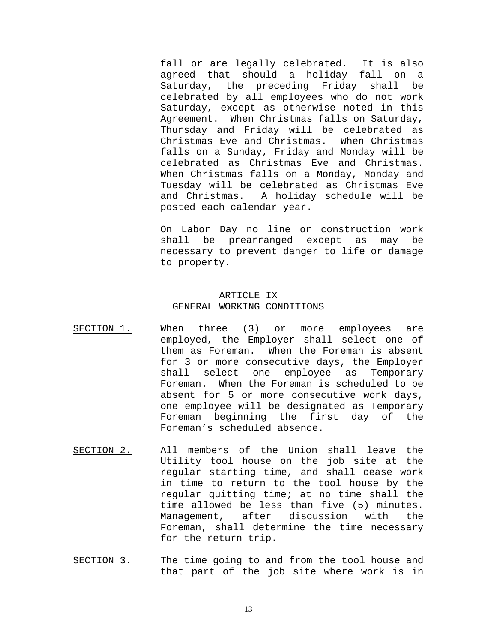fall or are legally celebrated. It is also agreed that should a holiday fall on a Saturday, the preceding Friday shall be celebrated by all employees who do not work Saturday, except as otherwise noted in this Agreement. When Christmas falls on Saturday, Thursday and Friday will be celebrated as Christmas Eve and Christmas. When Christmas falls on a Sunday, Friday and Monday will be celebrated as Christmas Eve and Christmas. When Christmas falls on a Monday, Monday and Tuesday will be celebrated as Christmas Eve and Christmas. A holiday schedule will be posted each calendar year.

On Labor Day no line or construction work shall be prearranged except as may be necessary to prevent danger to life or damage to property.

#### ARTICLE IX GENERAL WORKING CONDITIONS

- SECTION 1. When three (3) or more employees are employed, the Employer shall select one of them as Foreman. When the Foreman is absent for 3 or more consecutive days, the Employer shall select one employee as Temporary Foreman. When the Foreman is scheduled to be absent for 5 or more consecutive work days, one employee will be designated as Temporary Foreman beginning the first day of the Foreman's scheduled absence.
- SECTION 2. All members of the Union shall leave the Utility tool house on the job site at the regular starting time, and shall cease work in time to return to the tool house by the regular quitting time; at no time shall the time allowed be less than five (5) minutes. Management, after discussion with the Foreman, shall determine the time necessary for the return trip.
- SECTION 3. The time going to and from the tool house and that part of the job site where work is in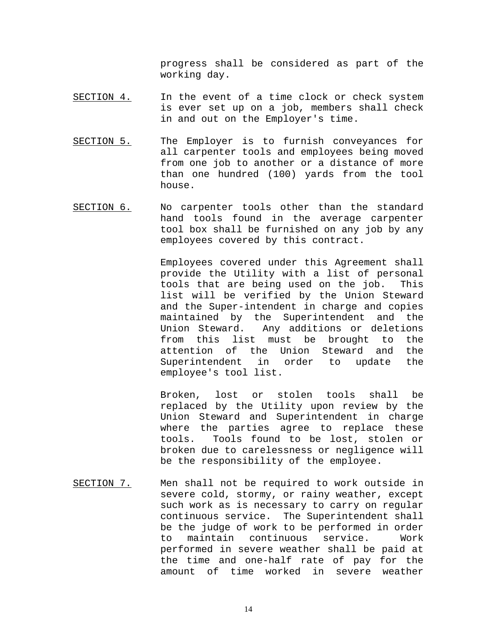progress shall be considered as part of the working day.

- SECTION 4. In the event of a time clock or check system is ever set up on a job, members shall check in and out on the Employer's time.
- SECTION 5. The Employer is to furnish conveyances for all carpenter tools and employees being moved from one job to another or a distance of more than one hundred (100) yards from the tool house.
- SECTION 6. No carpenter tools other than the standard hand tools found in the average carpenter tool box shall be furnished on any job by any employees covered by this contract.

Employees covered under this Agreement shall provide the Utility with a list of personal tools that are being used on the job. This list will be verified by the Union Steward and the Super-intendent in charge and copies maintained by the Superintendent and the Union Steward. Any additions or deletions from this list must be brought to attention of the Union Steward and the<br>Superintendent in order to update the Superintendent in order to update employee's tool list.

Broken, lost or stolen tools shall be replaced by the Utility upon review by the Union Steward and Superintendent in charge where the parties agree to replace these<br>tools. Tools found to be lost, stolen or Tools found to be lost, stolen or broken due to carelessness or negligence will be the responsibility of the employee.

SECTION 7. Men shall not be required to work outside in severe cold, stormy, or rainy weather, except such work as is necessary to carry on regular continuous service. The Superintendent shall be the judge of work to be performed in order to maintain continuous service. Work performed in severe weather shall be paid at the time and one-half rate of pay for the amount of time worked in severe weather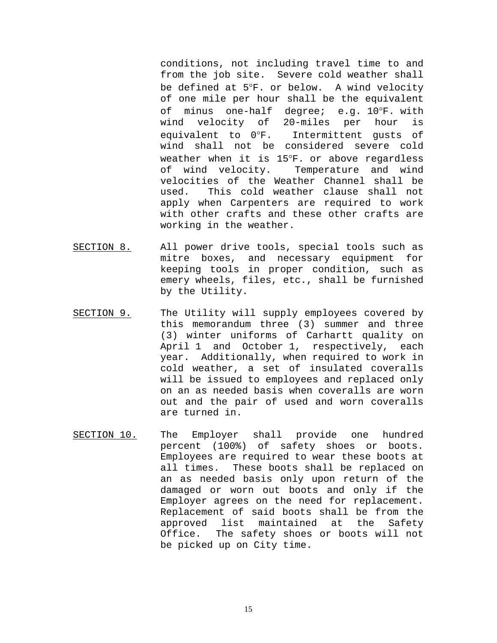conditions, not including travel time to and from the job site. Severe cold weather shall be defined at 5°F. or below. A wind velocity of one mile per hour shall be the equivalent of minus one-half degree; e.g. 10°F. with<br>wind velocity of 20-miles per hour is wind velocity of 20-miles per hour is equivalent to 0°F. Intermittent gusts of wind shall not be considered severe cold weather when it is 15°F. or above regardless of wind velocity. Temperature and wind velocities of the Weather Channel shall be<br>used. This cold weather clause shall not This cold weather clause shall not apply when Carpenters are required to work with other crafts and these other crafts are working in the weather.

- SECTION 8. All power drive tools, special tools such as mitre boxes, and necessary equipment for keeping tools in proper condition, such as emery wheels, files, etc., shall be furnished by the Utility.
- SECTION 9. The Utility will supply employees covered by this memorandum three (3) summer and three (3) winter uniforms of Carhartt quality on April 1 and October 1, respectively, each year. Additionally, when required to work in cold weather, a set of insulated coveralls will be issued to employees and replaced only on an as needed basis when coveralls are worn out and the pair of used and worn coveralls are turned in.
- SECTION 10. The Employer shall provide one hundred percent (100%) of safety shoes or boots. Employees are required to wear these boots at all times. These boots shall be replaced on an as needed basis only upon return of the damaged or worn out boots and only if the Employer agrees on the need for replacement. Replacement of said boots shall be from the<br>approved list maintained at the Safety approved list maintained Office. The safety shoes or boots will not be picked up on City time.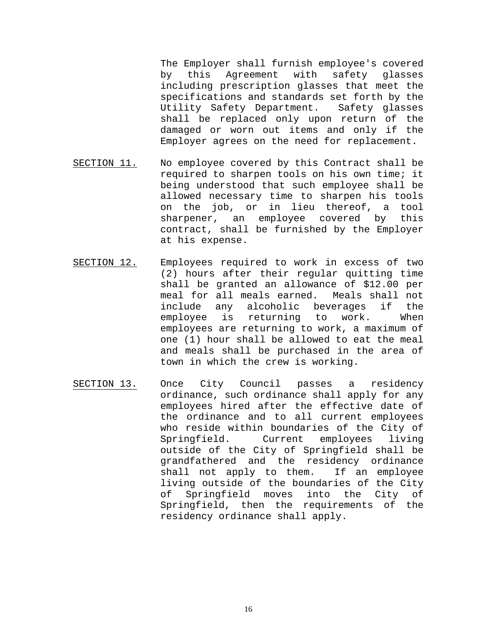The Employer shall furnish employee's covered<br>by this Agreement with safety glasses by this Agreement with safety including prescription glasses that meet the specifications and standards set forth by the Utility Safety Department. Safety glasses shall be replaced only upon return of the damaged or worn out items and only if the Employer agrees on the need for replacement.

- SECTION 11. No employee covered by this Contract shall be required to sharpen tools on his own time; it being understood that such employee shall be allowed necessary time to sharpen his tools on the job, or in lieu thereof, a tool sharpener, an employee covered by this contract, shall be furnished by the Employer at his expense.
- SECTION 12. Employees required to work in excess of two (2) hours after their regular quitting time shall be granted an allowance of \$12.00 per meal for all meals earned. Meals shall not include any alcoholic beverages if the employee is returning to work. When employees are returning to work, a maximum of one (1) hour shall be allowed to eat the meal and meals shall be purchased in the area of town in which the crew is working.
- SECTION 13. Once City Council passes a residency ordinance, such ordinance shall apply for any employees hired after the effective date of the ordinance and to all current employees who reside within boundaries of the City of<br>Springfield. Current employees living employees outside of the City of Springfield shall be grandfathered and the residency ordinance<br>shall not apply to them. If an employee shall not apply to them. living outside of the boundaries of the City of Springfield moves into the City of Springfield, then the requirements of the residency ordinance shall apply.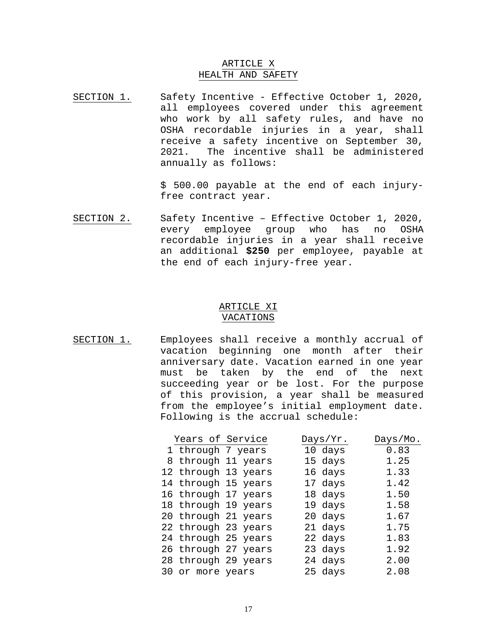#### ARTICLE X HEALTH AND SAFETY

SECTION 1. Safety Incentive - Effective October 1, 2020, all employees covered under this agreement who work by all safety rules, and have no OSHA recordable injuries in a year, shall receive a safety incentive on September 30, 2021. The incentive shall be administered annually as follows:

> \$ 500.00 payable at the end of each injuryfree contract year.

SECTION 2. Safety Incentive – Effective October 1, 2020, every employee group who has no OSHA recordable injuries in a year shall receive an additional **\$250** per employee, payable at the end of each injury-free year.

#### ARTICLE XI VACATIONS

SECTION 1. Employees shall receive a monthly accrual of vacation beginning one month after their anniversary date. Vacation earned in one year must be taken by the end of the next succeeding year or be lost. For the purpose of this provision, a year shall be measured from the employee's initial employment date. Following is the accrual schedule:

| Years of Service  |                     | Days/Yr. | Days/Mo. |
|-------------------|---------------------|----------|----------|
| 1 through 7 years |                     | 10 days  | 0.83     |
|                   | 8 through 11 years  | 15 days  | 1.25     |
|                   | 12 through 13 years | 16 days  | 1.33     |
|                   | 14 through 15 years | 17 days  | 1.42     |
|                   | 16 through 17 years | 18 days  | 1.50     |
|                   | 18 through 19 years | 19 days  | 1.58     |
|                   | 20 through 21 years | 20 days  | 1.67     |
|                   | 22 through 23 years | 21 days  | 1.75     |
|                   | 24 through 25 years | 22 days  | 1.83     |
|                   | 26 through 27 years | 23 days  | 1.92     |
|                   | 28 through 29 years | 24 days  | 2.00     |
| 30 or more years  |                     | 25 days  | 2.08     |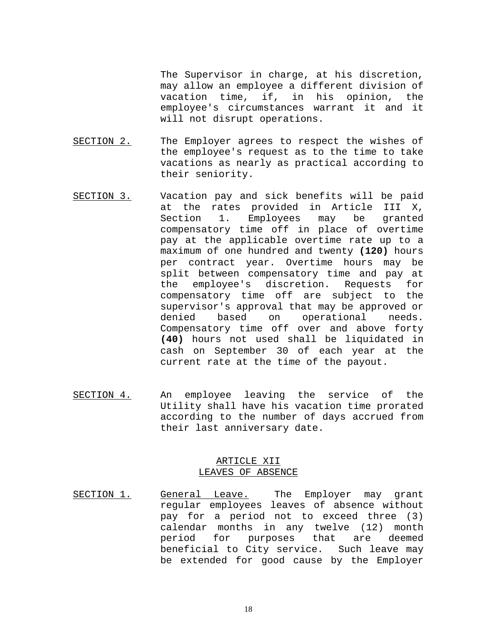The Supervisor in charge, at his discretion, may allow an employee a different division of vacation time, if, in his opinion, the employee's circumstances warrant it and it will not disrupt operations.

- SECTION 2. The Employer agrees to respect the wishes of the employee's request as to the time to take vacations as nearly as practical according to their seniority.
- SECTION 3. Vacation pay and sick benefits will be paid at the rates provided in Article III X,<br>Section 1. Employees may be granted 1. Employees may be granted compensatory time off in place of overtime pay at the applicable overtime rate up to a maximum of one hundred and twenty **(120)** hours per contract year. Overtime hours may be split between compensatory time and pay at the employee's discretion. Requests for compensatory time off are subject to the supervisor's approval that may be approved or denied based on operational needs. Compensatory time off over and above forty **(40)** hours not used shall be liquidated in cash on September 30 of each year at the current rate at the time of the payout.
- SECTION 4. An employee leaving the service of the Utility shall have his vacation time prorated according to the number of days accrued from their last anniversary date.

#### ARTICLE XII LEAVES OF ABSENCE

SECTION 1. General Leave. The Employer may grant regular employees leaves of absence without pay for a period not to exceed three (3) calendar months in any twelve (12) month period for purposes that are deemed beneficial to City service. Such leave may be extended for good cause by the Employer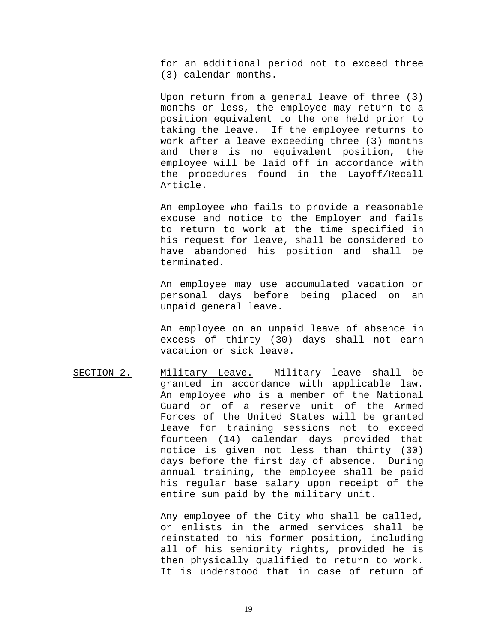for an additional period not to exceed three (3) calendar months.

Upon return from a general leave of three (3) months or less, the employee may return to a position equivalent to the one held prior to taking the leave. If the employee returns to work after a leave exceeding three (3) months and there is no equivalent position, the employee will be laid off in accordance with the procedures found in the Layoff/Recall Article.

An employee who fails to provide a reasonable excuse and notice to the Employer and fails to return to work at the time specified in his request for leave, shall be considered to have abandoned his position and shall be terminated.

An employee may use accumulated vacation or personal days before being placed on an unpaid general leave.

An employee on an unpaid leave of absence in excess of thirty (30) days shall not earn vacation or sick leave.

SECTION 2. Military Leave. Military leave shall be granted in accordance with applicable law. An employee who is a member of the National Guard or of a reserve unit of the Armed Forces of the United States will be granted leave for training sessions not to exceed fourteen (14) calendar days provided that notice is given not less than thirty (30) days before the first day of absence. During annual training, the employee shall be paid his regular base salary upon receipt of the entire sum paid by the military unit.

> Any employee of the City who shall be called, or enlists in the armed services shall be reinstated to his former position, including all of his seniority rights, provided he is then physically qualified to return to work. It is understood that in case of return of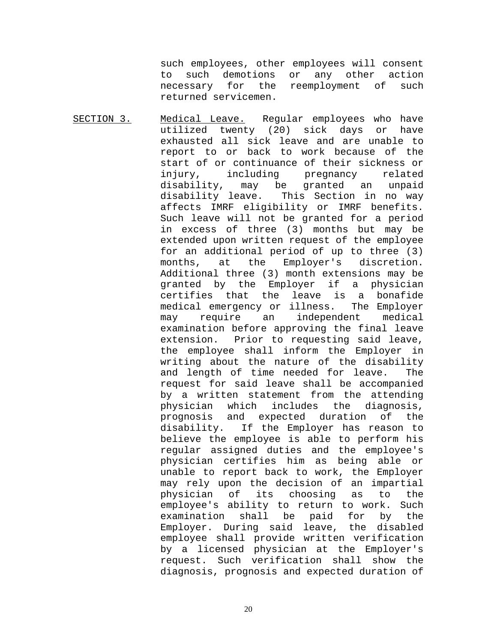such employees, other employees will consent to such demotions or any other action<br>necessary for the reemployment of such reemployment of such returned servicemen.

SECTION 3. Medical Leave. Regular employees who have utilized twenty (20) sick days or have exhausted all sick leave and are unable to report to or back to work because of the start of or continuance of their sickness or cluding pregnancy related<br>may be granted an unpaid disability, may be granted an unpaid<br>disability leave. This Section in no way This Section in no way affects IMRF eligibility or IMRF benefits. Such leave will not be granted for a period in excess of three (3) months but may be extended upon written request of the employee for an additional period of up to three (3)<br>months, at the Employer's discretion. the Employer's discretion. Additional three (3) month extensions may be granted by the Employer if a physician certifies that the leave is a bonafide medical emergency or illness. The Employer may require an independent medical examination before approving the final leave extension. Prior to requesting said leave, the employee shall inform the Employer in writing about the nature of the disability and length of time needed for leave. The request for said leave shall be accompanied by a written statement from the attending<br>physician which includes the diagnosis, physician which includes the diagnosis,<br>prognosis and expected duration of the prognosis and expected duration disability. If the Employer has reason to believe the employee is able to perform his regular assigned duties and the employee's physician certifies him as being able or unable to report back to work, the Employer may rely upon the decision of an impartial physician of its choosing as to the employee's ability to return to work. Such examination shall be paid for by the Employer. During said leave, the disabled employee shall provide written verification by a licensed physician at the Employer's request. Such verification shall show the diagnosis, prognosis and expected duration of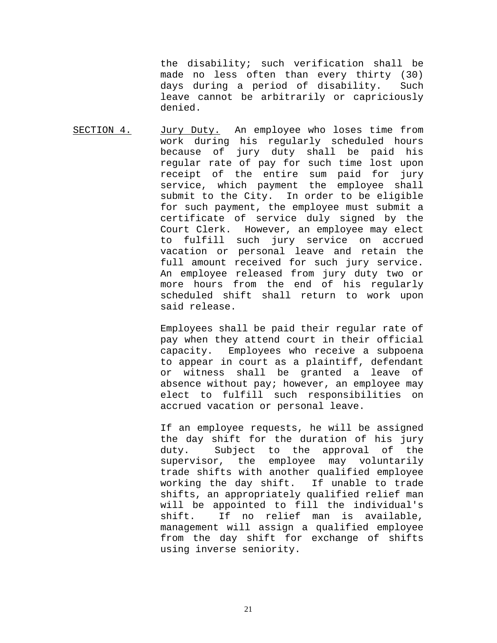the disability; such verification shall be made no less often than every thirty (30) days during a period of disability. Such leave cannot be arbitrarily or capriciously denied.

SECTION 4. Jury Duty. An employee who loses time from work during his regularly scheduled hours because of jury duty shall be paid his regular rate of pay for such time lost upon receipt of the entire sum paid for jury service, which payment the employee shall submit to the City. In order to be eligible for such payment, the employee must submit a certificate of service duly signed by the Court Clerk. However, an employee may elect to fulfill such jury service on accrued vacation or personal leave and retain the full amount received for such jury service. An employee released from jury duty two or more hours from the end of his regularly scheduled shift shall return to work upon said release.

> Employees shall be paid their regular rate of pay when they attend court in their official capacity. Employees who receive a subpoena to appear in court as a plaintiff, defendant or witness shall be granted a leave of absence without pay; however, an employee may elect to fulfill such responsibilities on accrued vacation or personal leave.

> If an employee requests, he will be assigned the day shift for the duration of his jury<br>duty. Subject to the approval of the Subject to the approval of the supervisor, the employee may voluntarily trade shifts with another qualified employee working the day shift. If unable to trade shifts, an appropriately qualified relief man will be appointed to fill the individual's<br>shift. If no relief man is available, If no relief man is available, management will assign a qualified employee from the day shift for exchange of shifts using inverse seniority.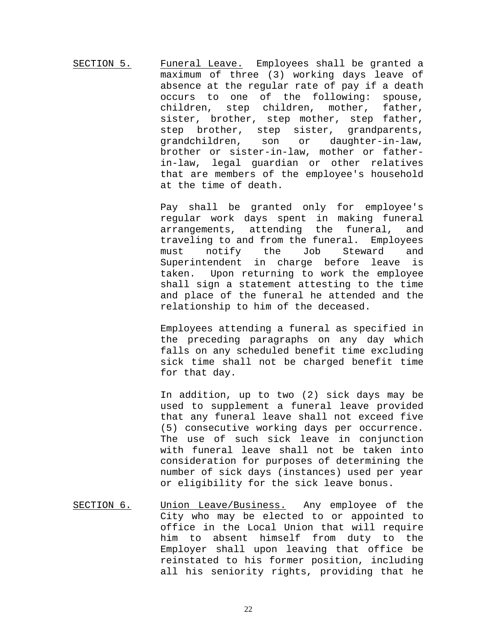SECTION 5. Funeral Leave. Employees shall be granted a maximum of three (3) working days leave of absence at the regular rate of pay if a death occurs to one of the following: spouse,<br>children, step children, mother, father, step children, sister, brother, step mother, step father, step brother, step sister, grandparents, grandchildren, son or daughter-in-law, brother or sister-in-law, mother or fatherin-law, legal guardian or other relatives that are members of the employee's household at the time of death.

> Pay shall be granted only for employee's regular work days spent in making funeral arrangements, attending the funeral, and traveling to and from the funeral. Employees<br>must notify the Job Steward and must notify the Job Steward and<br>Superintendent in charge before leave is Superintendent in charge before leave taken. Upon returning to work the employee shall sign a statement attesting to the time and place of the funeral he attended and the relationship to him of the deceased.

> Employees attending a funeral as specified in the preceding paragraphs on any day which falls on any scheduled benefit time excluding sick time shall not be charged benefit time for that day.

> In addition, up to two (2) sick days may be used to supplement a funeral leave provided that any funeral leave shall not exceed five (5) consecutive working days per occurrence. The use of such sick leave in conjunction with funeral leave shall not be taken into consideration for purposes of determining the number of sick days (instances) used per year or eligibility for the sick leave bonus.

SECTION 6. Union Leave/Business. Any employee of the City who may be elected to or appointed to office in the Local Union that will require him to absent himself from duty to the Employer shall upon leaving that office be reinstated to his former position, including all his seniority rights, providing that he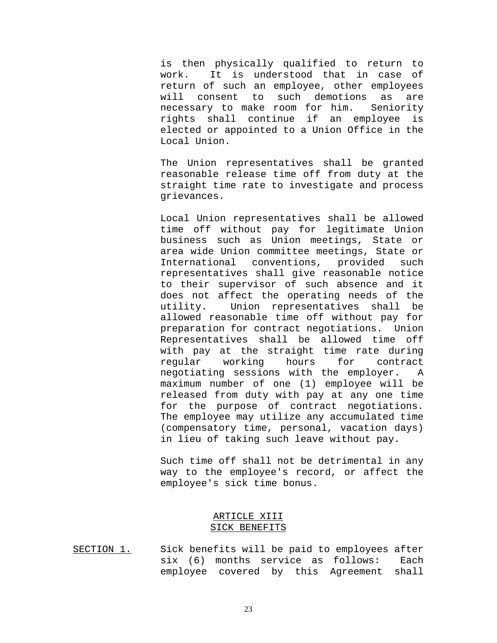is then physically qualified to return to work. It is understood that in case of return of such an employee, other employees will consent to such demotions as are necessary to make room for him. Seniority rights shall continue if an employee is elected or appointed to a Union Office in the Local Union.

The Union representatives shall be granted reasonable release time off from duty at the straight time rate to investigate and process grievances.

Local Union representatives shall be allowed time off without pay for legitimate Union business such as Union meetings, State or area wide Union committee meetings, State or<br>International conventions, provided such International conventions, provided representatives shall give reasonable notice to their supervisor of such absence and it does not affect the operating needs of the utility. Union representatives shall be allowed reasonable time off without pay for preparation for contract negotiations. Union Representatives shall be allowed time off with pay at the straight time rate during<br>reqular working hours for contract working negotiating sessions with the employer. A maximum number of one (1) employee will be released from duty with pay at any one time for the purpose of contract negotiations. The employee may utilize any accumulated time (compensatory time, personal, vacation days) in lieu of taking such leave without pay.

Such time off shall not be detrimental in any way to the employee's record, or affect the employee's sick time bonus.

#### ARTICLE XIII SICK BENEFITS

SECTION 1. Sick benefits will be paid to employees after six (6) months service as follows: Each employee covered by this Agreement shall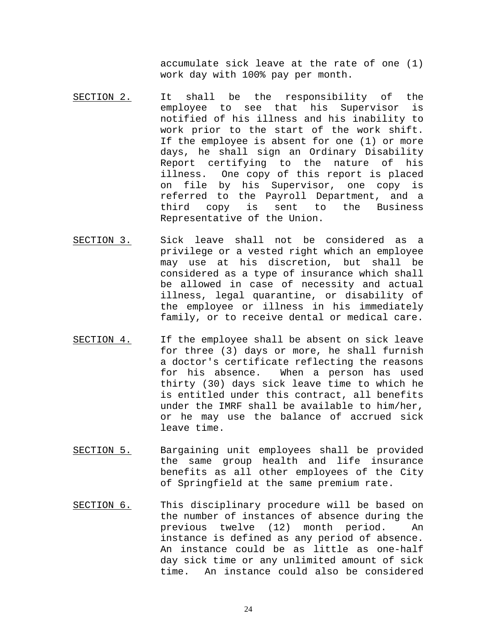accumulate sick leave at the rate of one (1) work day with 100% pay per month.

- SECTION 2. It shall be the responsibility of the<br>emplovee to see that his Supervisor is employee to see that his Supervisor notified of his illness and his inability to work prior to the start of the work shift. If the employee is absent for one (1) or more days, he shall sign an Ordinary Disability Report certifying to the nature of his illness. One copy of this report is placed on file by his Supervisor, one copy is referred to the Payroll Department, and a<br>third copy is sent to the Business is sent to the Business Representative of the Union.
- SECTION 3. Sick leave shall not be considered as a privilege or a vested right which an employee may use at his discretion, but shall be considered as a type of insurance which shall be allowed in case of necessity and actual illness, legal quarantine, or disability of the employee or illness in his immediately family, or to receive dental or medical care.
- SECTION 4. If the employee shall be absent on sick leave for three (3) days or more, he shall furnish a doctor's certificate reflecting the reasons<br>for his absence. When a person has used When a person has used thirty (30) days sick leave time to which he is entitled under this contract, all benefits under the IMRF shall be available to him/her, or he may use the balance of accrued sick leave time.
- SECTION 5. Bargaining unit employees shall be provided the same group health and life insurance benefits as all other employees of the City of Springfield at the same premium rate.
- SECTION 6. This disciplinary procedure will be based on the number of instances of absence during the previous twelve (12) month period. An instance is defined as any period of absence. An instance could be as little as one-half day sick time or any unlimited amount of sick time. An instance could also be considered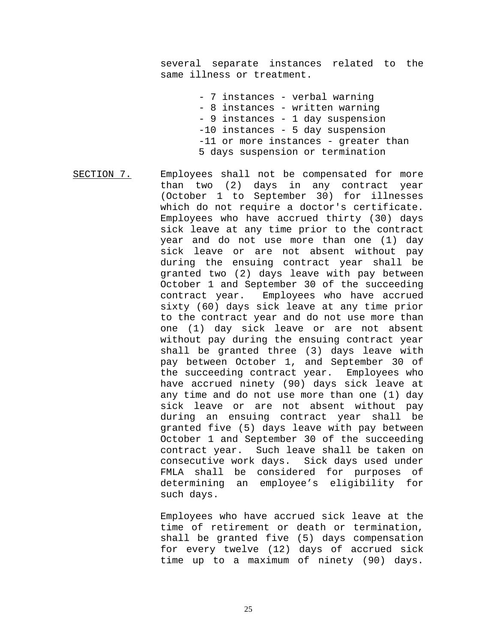several separate instances related to the same illness or treatment.

> - 7 instances - verbal warning - 8 instances - written warning - 9 instances - 1 day suspension -10 instances - 5 day suspension -11 or more instances - greater than 5 days suspension or termination

SECTION 7. Employees shall not be compensated for more than two (2) days in any contract year (October 1 to September 30) for illnesses which do not require a doctor's certificate. Employees who have accrued thirty (30) days sick leave at any time prior to the contract year and do not use more than one (1) day sick leave or are not absent without pay during the ensuing contract year shall be granted two (2) days leave with pay between October 1 and September 30 of the succeeding contract year. Employees who have accrued sixty (60) days sick leave at any time prior to the contract year and do not use more than one (1) day sick leave or are not absent without pay during the ensuing contract year shall be granted three (3) days leave with pay between October 1, and September 30 of the succeeding contract year. Employees who have accrued ninety (90) days sick leave at any time and do not use more than one (1) day sick leave or are not absent without pay during an ensuing contract year shall be granted five (5) days leave with pay between October 1 and September 30 of the succeeding contract year. Such leave shall be taken on consecutive work days. Sick days used under FMLA shall be considered for purposes of determining an employee's eligibility for such days.

> Employees who have accrued sick leave at the time of retirement or death or termination, shall be granted five (5) days compensation for every twelve (12) days of accrued sick time up to a maximum of ninety (90) days.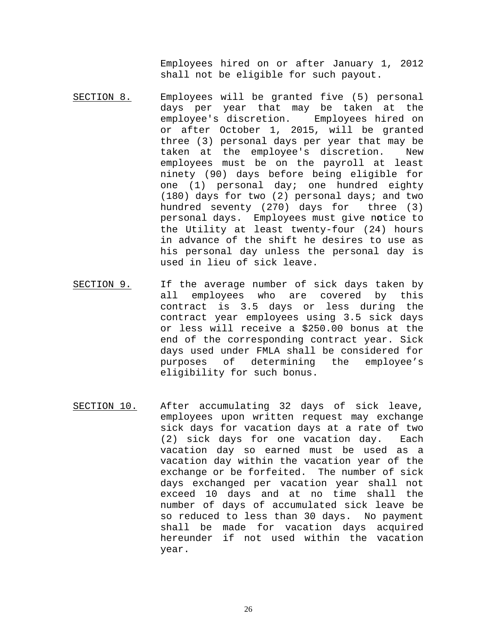Employees hired on or after January 1, 2012 shall not be eligible for such payout.

- SECTION 8. Employees will be granted five (5) personal days per year that may be taken at the employee's discretion. Employees hired on or after October 1, 2015, will be granted three (3) personal days per year that may be taken at the employee's discretion. New employees must be on the payroll at least ninety (90) days before being eligible for one (1) personal day; one hundred eighty (180) days for two (2) personal days; and two hundred seventy (270) days for three (3) personal days. Employees must give n**o**tice to the Utility at least twenty-four (24) hours in advance of the shift he desires to use as his personal day unless the personal day is used in lieu of sick leave.
- SECTION 9. If the average number of sick days taken by<br>all employees who are covered by this employees who are covered by this contract is 3.5 days or less during the contract year employees using 3.5 sick days or less will receive a \$250.00 bonus at the end of the corresponding contract year. Sick days used under FMLA shall be considered for<br>purposes of determining the employee's of determining eligibility for such bonus.
- SECTION 10. After accumulating 32 days of sick leave, employees upon written request may exchange sick days for vacation days at a rate of two (2) sick days for one vacation day. Each vacation day so earned must be used as a vacation day within the vacation year of the exchange or be forfeited. The number of sick days exchanged per vacation year shall not exceed 10 days and at no time shall the number of days of accumulated sick leave be so reduced to less than 30 days. No payment shall be made for vacation days acquired hereunder if not used within the vacation year.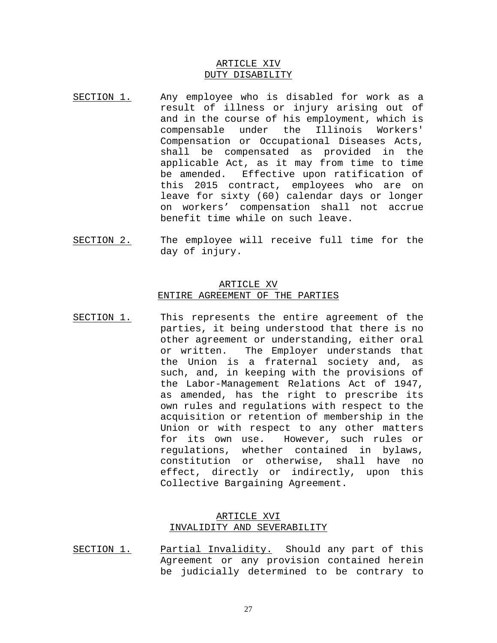#### ARTICLE XIV DUTY DISABILITY

- SECTION 1. Any employee who is disabled for work as a result of illness or injury arising out of and in the course of his employment, which is compensable under the Illinois Workers' compensable under the Compensation or Occupational Diseases Acts, shall be compensated as provided in the applicable Act, as it may from time to time be amended. Effective upon ratification of this 2015 contract, employees who are on leave for sixty (60) calendar days or longer on workers' compensation shall not accrue benefit time while on such leave.
- SECTION 2. The employee will receive full time for the day of injury.

#### ARTICLE XV ENTIRE AGREEMENT OF THE PARTIES

SECTION 1. This represents the entire agreement of the parties, it being understood that there is no other agreement or understanding, either oral or written. The Employer understands that the Union is a fraternal society and, as such, and, in keeping with the provisions of the Labor-Management Relations Act of 1947, as amended, has the right to prescribe its own rules and regulations with respect to the acquisition or retention of membership in the Union or with respect to any other matters for its own use. However, such rules or regulations, whether contained in bylaws, constitution or otherwise, shall have no effect, directly or indirectly, upon this Collective Bargaining Agreement.

#### ARTICLE XVI INVALIDITY AND SEVERABILITY

SECTION 1. Partial Invalidity. Should any part of this Agreement or any provision contained herein be judicially determined to be contrary to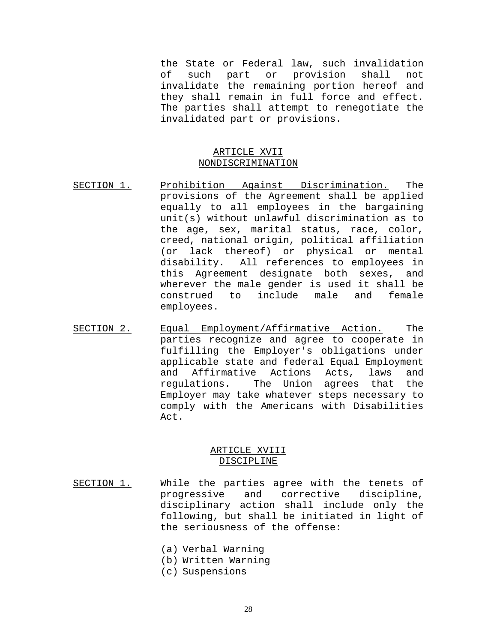the State or Federal law, such invalidation<br>of such part or provision shall not such part or provision shall not invalidate the remaining portion hereof and they shall remain in full force and effect. The parties shall attempt to renegotiate the invalidated part or provisions.

#### ARTICLE XVII NONDISCRIMINATION

- SECTION 1. Prohibition Against Discrimination. The provisions of the Agreement shall be applied equally to all employees in the bargaining unit(s) without unlawful discrimination as to the age, sex, marital status, race, color, creed, national origin, political affiliation (or lack thereof) or physical or mental disability. All references to employees in this Agreement designate both sexes, and wherever the male gender is used it shall be<br>construed to include male and female construed to employees.
- SECTION 2. Equal Employment/Affirmative Action. The parties recognize and agree to cooperate in fulfilling the Employer's obligations under applicable state and federal Equal Employment<br>and Affirmative Actions Acts, laws and and Affirmative Actions Acts, laws and<br>regulations. The Union agrees that the The Union agrees that Employer may take whatever steps necessary to comply with the Americans with Disabilities Act.

#### ARTICLE XVIII DISCIPLINE

- SECTION 1. While the parties agree with the tenets of progressive and corrective discipline, disciplinary action shall include only the following, but shall be initiated in light of the seriousness of the offense:
	- (a) Verbal Warning
	- (b) Written Warning
	- (c) Suspensions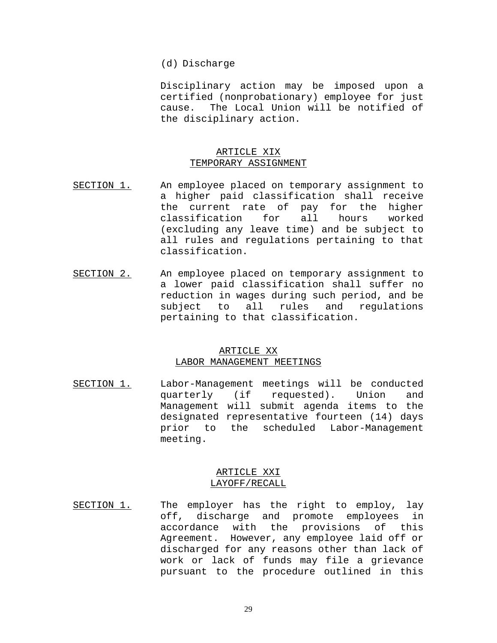#### (d) Discharge

Disciplinary action may be imposed upon a certified (nonprobationary) employee for just cause. The Local Union will be notified of the disciplinary action.

#### ARTICLE XIX TEMPORARY ASSIGNMENT

- SECTION 1. An employee placed on temporary assignment to a higher paid classification shall receive the current rate of pay for the higher<br>classification for all hours worked classification for all hours worked (excluding any leave time) and be subject to all rules and regulations pertaining to that classification.
- SECTION 2. An employee placed on temporary assignment to a lower paid classification shall suffer no reduction in wages during such period, and be<br>subject to all rules and requlations subject to all rules and regulations pertaining to that classification.

#### ARTICLE XX LABOR MANAGEMENT MEETINGS

SECTION 1. Labor-Management meetings will be conducted<br>quarterly (if requested). Union and requested). Union and Management will submit agenda items to the designated representative fourteen (14) days<br>prior to the scheduled Labor-Management the scheduled Labor-Management meeting.

#### ARTICLE XXI LAYOFF/RECALL

SECTION 1. The employer has the right to employ, lay off, discharge and promote employees in accordance with the provisions of this Agreement. However, any employee laid off or discharged for any reasons other than lack of work or lack of funds may file a grievance pursuant to the procedure outlined in this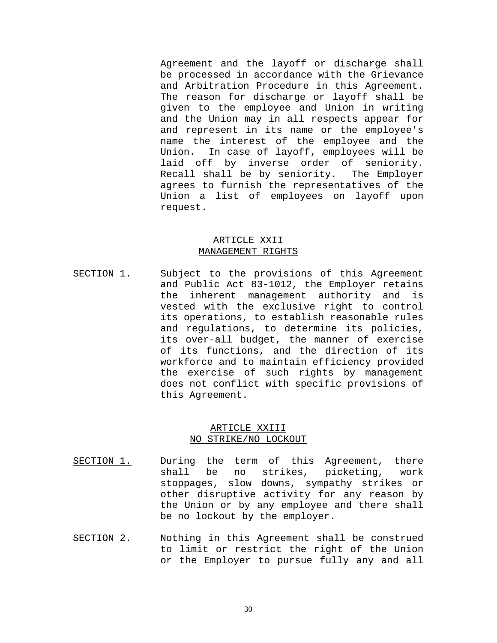Agreement and the layoff or discharge shall be processed in accordance with the Grievance and Arbitration Procedure in this Agreement. The reason for discharge or layoff shall be given to the employee and Union in writing and the Union may in all respects appear for and represent in its name or the employee's name the interest of the employee and the Union. In case of layoff, employees will be laid off by inverse order of seniority. Recall shall be by seniority. The Employer agrees to furnish the representatives of the Union a list of employees on layoff upon request.

#### ARTICLE XXII MANAGEMENT RIGHTS

SECTION 1. Subject to the provisions of this Agreement and Public Act 83-1012, the Employer retains the inherent management authority and is vested with the exclusive right to control its operations, to establish reasonable rules and regulations, to determine its policies, its over-all budget, the manner of exercise of its functions, and the direction of its workforce and to maintain efficiency provided the exercise of such rights by management does not conflict with specific provisions of this Agreement.

#### ARTICLE XXIII NO STRIKE/NO LOCKOUT

- SECTION 1. During the term of this Agreement, there<br>shall be no strikes, picketing, work shall be no strikes, picketing, work stoppages, slow downs, sympathy strikes or other disruptive activity for any reason by the Union or by any employee and there shall be no lockout by the employer.
- SECTION 2. Nothing in this Agreement shall be construed to limit or restrict the right of the Union or the Employer to pursue fully any and all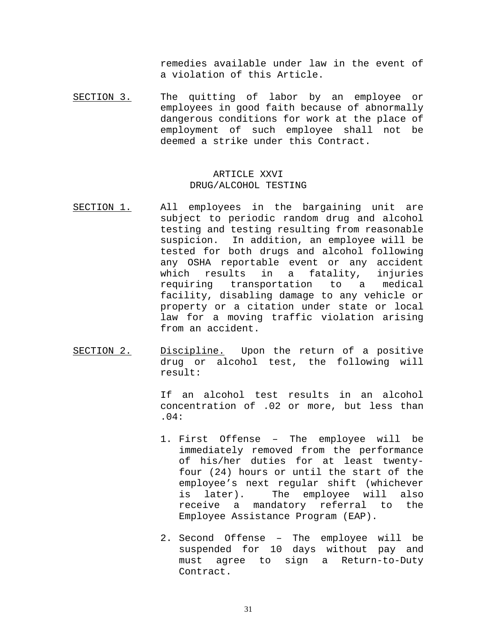remedies available under law in the event of a violation of this Article.

SECTION 3. The quitting of labor by an employee or employees in good faith because of abnormally dangerous conditions for work at the place of employment of such employee shall not be deemed a strike under this Contract.

### ARTICLE XXVI DRUG/ALCOHOL TESTING

- SECTION 1. All employees in the bargaining unit are subject to periodic random drug and alcohol testing and testing resulting from reasonable suspicion. In addition, an employee will be tested for both drugs and alcohol following any OSHA reportable event or any accident<br>which results in a fatality, injuries which results in a fatality, injuries<br>requiring transportation to a medical transportation to a medical facility, disabling damage to any vehicle or property or a citation under state or local law for a moving traffic violation arising from an accident.
- SECTION 2. Discipline. Upon the return of a positive drug or alcohol test, the following will result:

If an alcohol test results in an alcohol concentration of .02 or more, but less than .04:

- 1. First Offense The employee will be immediately removed from the performance of his/her duties for at least twentyfour (24) hours or until the start of the employee's next regular shift (whichever<br>is later). The employee will also is later). The employee will also receive a mandatory referral to the Employee Assistance Program (EAP).
- 2. Second Offense The employee will be suspended for 10 days without pay and must agree to sign a Return-to-Duty Contract.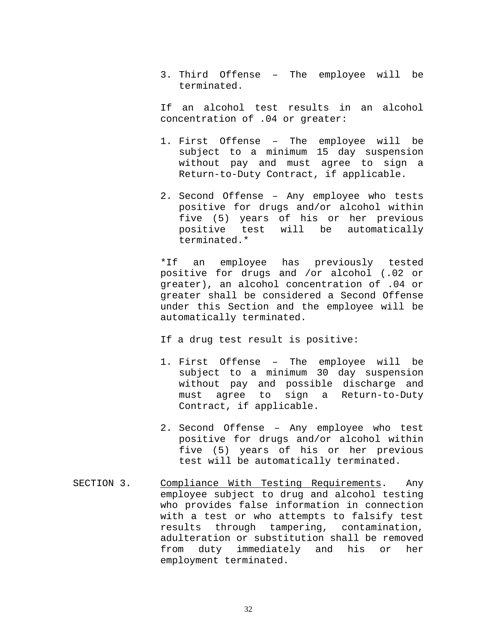3. Third Offense – The employee will be terminated.

If an alcohol test results in an alcohol concentration of .04 or greater:

- 1. First Offense The employee will be subject to a minimum 15 day suspension without pay and must agree to sign a Return-to-Duty Contract, if applicable.
- 2. Second Offense Any employee who tests positive for drugs and/or alcohol within five (5) years of his or her previous positive test will be automatically terminated.\*

\*If an employee has previously tested positive for drugs and /or alcohol (.02 or greater), an alcohol concentration of .04 or greater shall be considered a Second Offense under this Section and the employee will be automatically terminated.

If a drug test result is positive:

- 1. First Offense The employee will be subject to a minimum 30 day suspension without pay and possible discharge and must agree to sign a Return-to-Duty Contract, if applicable.
- 2. Second Offense Any employee who test positive for drugs and/or alcohol within five (5) years of his or her previous test will be automatically terminated.
- SECTION 3. Compliance With Testing Requirements. Any employee subject to drug and alcohol testing who provides false information in connection with a test or who attempts to falsify test results through tampering, contamination, adulteration or substitution shall be removed<br>from duty immediately and his or her from duty immediately and his or employment terminated.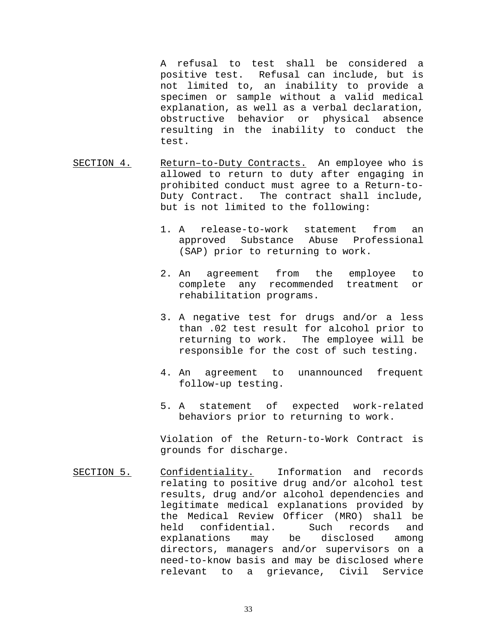A refusal to test shall be considered a positive test. Refusal can include, but is not limited to, an inability to provide a specimen or sample without a valid medical explanation, as well as a verbal declaration, obstructive behavior or physical absence resulting in the inability to conduct the test.

- SECTION 4. Return–to-Duty Contracts. An employee who is allowed to return to duty after engaging in prohibited conduct must agree to a Return-to-Duty Contract. The contract shall include, but is not limited to the following:
	- 1. A release-to-work statement from an approved Substance Abuse Professional (SAP) prior to returning to work.
	- 2. An agreement from the employee to complete any recommended treatment or rehabilitation programs.
	- 3. A negative test for drugs and/or a less than .02 test result for alcohol prior to returning to work. The employee will be responsible for the cost of such testing.
	- 4. An agreement to unannounced frequent follow-up testing.
	- 5. A statement of expected work-related behaviors prior to returning to work.

Violation of the Return-to-Work Contract is grounds for discharge.

SECTION 5. Confidentiality. Information and records relating to positive drug and/or alcohol test results, drug and/or alcohol dependencies and legitimate medical explanations provided by the Medical Review Officer (MRO) shall be held confidential. Such record<br>explanations may be disclosed explanations may be disclosed among directors, managers and/or supervisors on a need-to-know basis and may be disclosed where relevant to a grievance, Civil Service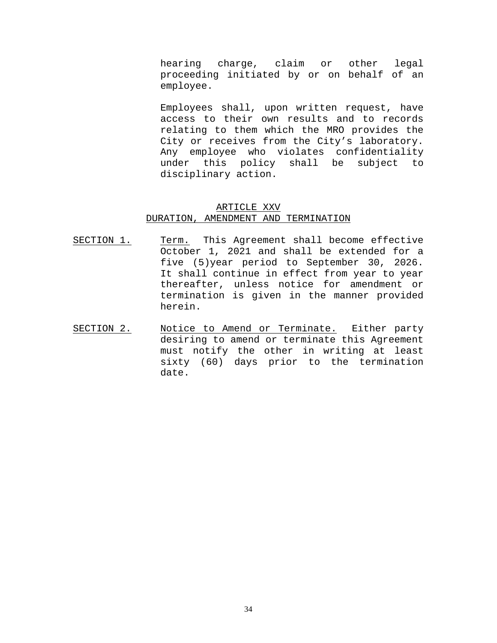hearing charge, claim or other legal proceeding initiated by or on behalf of an employee.

Employees shall, upon written request, have access to their own results and to records relating to them which the MRO provides the City or receives from the City's laboratory. Any employee who violates confidentiality under this policy shall be subject to disciplinary action.

#### ARTICLE XXV

#### DURATION, AMENDMENT AND TERMINATION

- SECTION 1. Term. This Agreement shall become effective October 1, 2021 and shall be extended for a five (5)year period to September 30, 2026. It shall continue in effect from year to year thereafter, unless notice for amendment or termination is given in the manner provided herein.
- SECTION 2. Notice to Amend or Terminate. Either party desiring to amend or terminate this Agreement must notify the other in writing at least sixty (60) days prior to the termination date.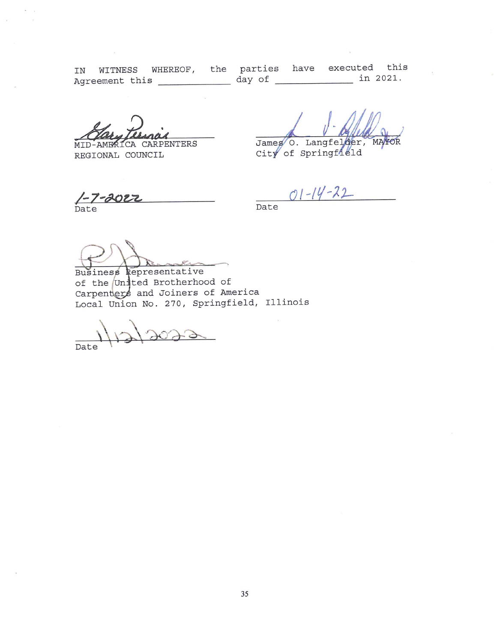IN WITNESS WHEREOF, the parties have executed this 

MID-AMERICA CARPENTERS REGIONAL COUNCIL

James O. Langfelder, MAYOR

City of Springfield

1-7-2022

 $01 - 14 - 22$ 

Business Representative of the United Brotherhood of Carpenters and Joiners of America Local Union No. 270, Springfield, Illinois

 $7073$ Date